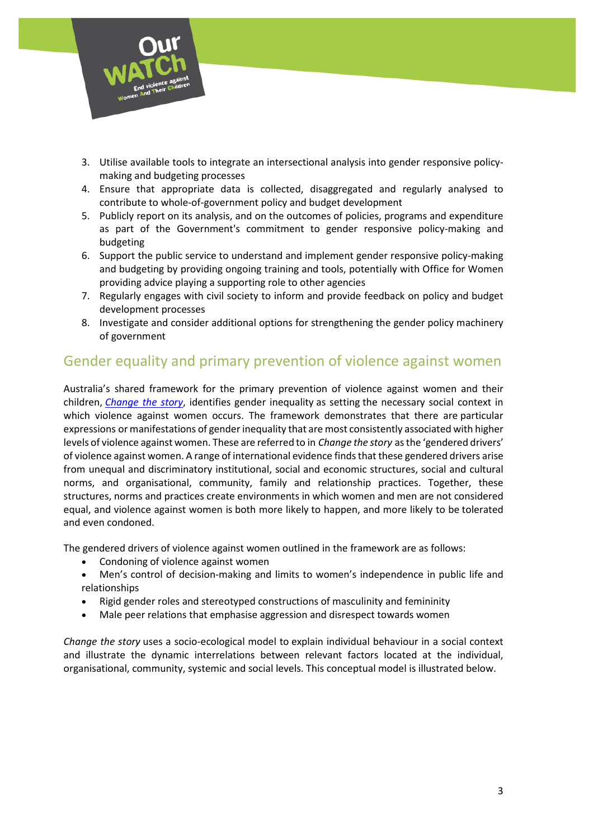

- 3. Utilise available tools to integrate an intersectional analysis into gender responsive policymaking and budgeting processes
- 4. Ensure that appropriate data is collected, disaggregated and regularly analysed to contribute to whole-of-government policy and budget development
- 5. Publicly report on its analysis, and on the outcomes of policies, programs and expenditure as part of the Government's commitment to gender responsive policy-making and budgeting
- 6. Support the public service to understand and implement gender responsive policy-making and budgeting by providing ongoing training and tools, potentially with Office for Women providing advice playing a supporting role to other agencies
- 7. Regularly engages with civil society to inform and provide feedback on policy and budget development processes
- 8. Investigate and consider additional options for strengthening the gender policy machinery of government

## Gender equality and primary prevention of violence against women

Australia's shared framework for the primary prevention of violence against women and their children, *[Change the story](https://www.ourwatch.org.au/getmedia/0aa0109b-6b03-43f2-85fe-a9f5ec92ae4e/Change-the-story-framework-prevent-violence-women-children-AA-new.pdf.aspx)*, identifies gender inequality as setting the necessary social context in which violence against women occurs. The framework demonstrates that there are particular expressions or manifestations of gender inequality that are most consistently associated with higher levels of violence against women. These are referred to in *Change the story* as the 'gendered drivers' of violence against women. A range of international evidence finds that these gendered drivers arise from unequal and discriminatory institutional, social and economic structures, social and cultural norms, and organisational, community, family and relationship practices. Together, these structures, norms and practices create environments in which women and men are not considered equal, and violence against women is both more likely to happen, and more likely to be tolerated and even condoned.

The gendered drivers of violence against women outlined in the framework are as follows:

- Condoning of violence against women
- Men's control of decision-making and limits to women's independence in public life and relationships
- Rigid gender roles and stereotyped constructions of masculinity and femininity
- Male peer relations that emphasise aggression and disrespect towards women

*Change the story* uses a socio-ecological model to explain individual behaviour in a social context and illustrate the dynamic interrelations between relevant factors located at the individual, organisational, community, systemic and social levels. This conceptual model is illustrated below.